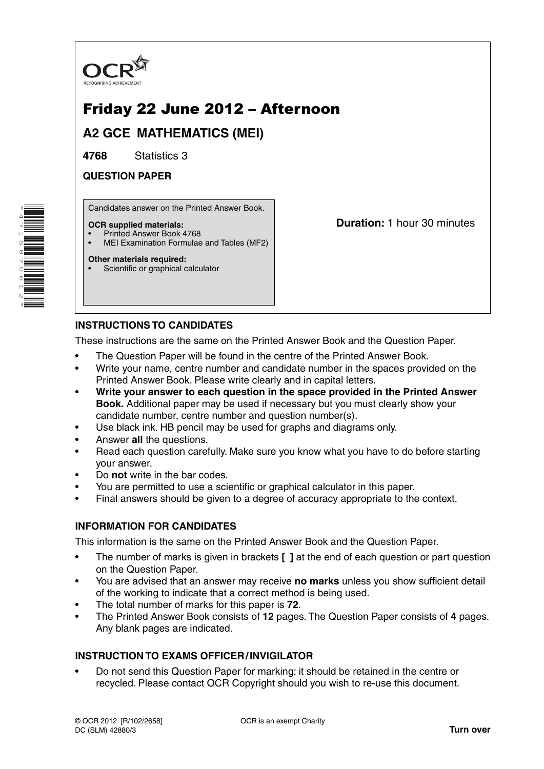

# Friday 22 June 2012 – Afternoon

**A2 GCE MATHEMATICS (MEI)**

**4768** Statistics 3

**QUESTION PAPER**

Candidates answer on the Printed Answer Book.

#### **OCR supplied materials:**

- Printed Answer Book 4768
- MEI Examination Formulae and Tables (MF2)

#### **Other materials required:**

Scientific or graphical calculator

**Duration:** 1 hour 30 minutes

# **INSTRUCTIONS TO CANDIDATES**

These instructions are the same on the Printed Answer Book and the Question Paper.

- The Question Paper will be found in the centre of the Printed Answer Book.
- Write your name, centre number and candidate number in the spaces provided on the Printed Answer Book. Please write clearly and in capital letters.
- **Write your answer to each question in the space provided in the Printed Answer Book.** Additional paper may be used if necessary but you must clearly show your candidate number, centre number and question number(s).
- Use black ink. HB pencil may be used for graphs and diagrams only.
- Answer **all** the questions.
- Read each question carefully. Make sure you know what you have to do before starting your answer.
- Do **not** write in the bar codes.
- You are permitted to use a scientific or graphical calculator in this paper.
- Final answers should be given to a degree of accuracy appropriate to the context.

## **INFORMATION FOR CANDIDATES**

This information is the same on the Printed Answer Book and the Question Paper.

- The number of marks is given in brackets **[ ]** at the end of each question or part question on the Question Paper.
- You are advised that an answer may receive **no marks** unless you show sufficient detail of the working to indicate that a correct method is being used.
- The total number of marks for this paper is **72**.
- The Printed Answer Book consists of **12** pages. The Question Paper consists of **4** pages. Any blank pages are indicated.

## **INSTRUCTION TO EXAMS OFFICER / INVIGILATOR**

• Do not send this Question Paper for marking; it should be retained in the centre or recycled. Please contact OCR Copyright should you wish to re-use this document.

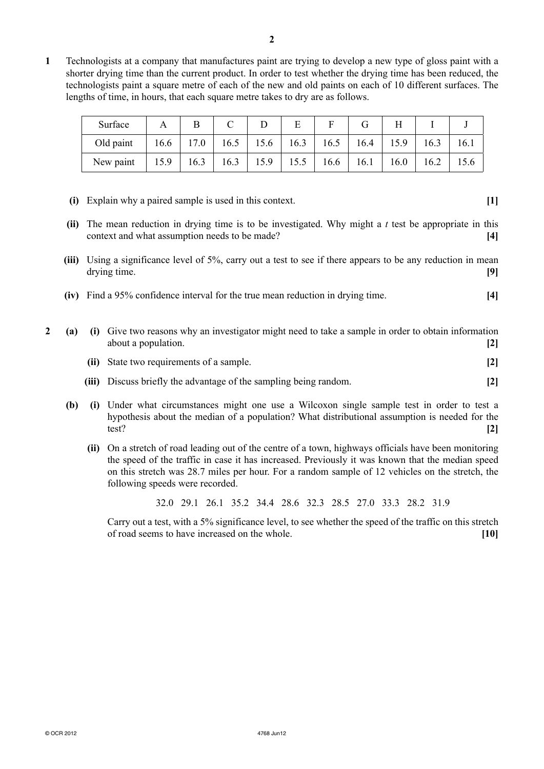**1** Technologists at a company that manufactures paint are trying to develop a new type of gloss paint with a shorter drying time than the current product. In order to test whether the drying time has been reduced, the technologists paint a square metre of each of the new and old paints on each of 10 different surfaces. The lengths of time, in hours, that each square metre takes to dry are as follows.

| Surface   |                                                              |  | E |                                                             |      |      |
|-----------|--------------------------------------------------------------|--|---|-------------------------------------------------------------|------|------|
| Old paint |                                                              |  |   | $16.6$   17.0   16.5   15.6   16.3   16.5   16.4   15.9   1 | 16.3 | 16.1 |
| New paint | 15.9   16.3   16.3   15.9   15.5   16.6   16.1   16.0   16.2 |  |   |                                                             |      | 15.6 |

- **(i)** Explain why a paired sample is used in this context. **[1]**
- **(ii)** The mean reduction in drying time is to be investigated. Why might a *t* test be appropriate in this context and what assumption needs to be made? **[4]**
- **(iii)** Using a significance level of 5%, carry out a test to see if there appears to be any reduction in mean drying time. **[9]**
- **(iv)** Find a 95% confidence interval for the true mean reduction in drying time. **[4]**
- **2 (a) (i)** Give two reasons why an investigator might need to take a sample in order to obtain information about a population. **[2] (ii)** State two requirements of a sample. **[2] (iii)** Discuss briefly the advantage of the sampling being random. **[2] (b) (i)** Under what circumstances might one use a Wilcoxon single sample test in order to test a
	- hypothesis about the median of a population? What distributional assumption is needed for the test? **[2]**
		- **(ii)** On a stretch of road leading out of the centre of a town, highways officials have been monitoring the speed of the traffic in case it has increased. Previously it was known that the median speed on this stretch was 28.7 miles per hour. For a random sample of 12 vehicles on the stretch, the following speeds were recorded.

32.0 29.1 26.1 35.2 34.4 28.6 32.3 28.5 27.0 33.3 28.2 31.9

Carry out a test, with a 5% significance level, to see whether the speed of the traffic on this stretch of road seems to have increased on the whole. **[10]**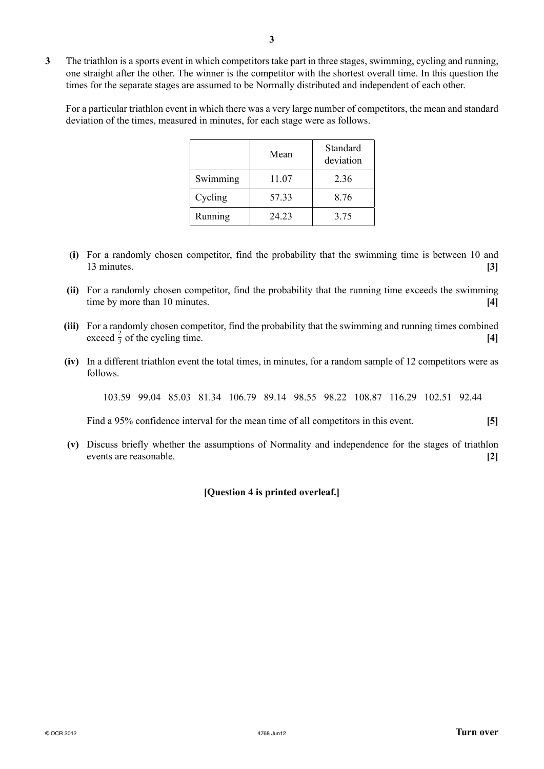**3** The triathlon is a sports event in which competitors take part in three stages, swimming, cycling and running, one straight after the other. The winner is the competitor with the shortest overall time. In this question the times for the separate stages are assumed to be Normally distributed and independent of each other.

For a particular triathlon event in which there was a very large number of competitors, the mean and standard deviation of the times, measured in minutes, for each stage were as follows.

|          | Mean  | Standard<br>deviation |  |  |
|----------|-------|-----------------------|--|--|
| Swimming | 11.07 | 2.36                  |  |  |
| Cycling  | 57.33 | 8.76                  |  |  |
| Running  | 24.23 | 3.75                  |  |  |

- **(i)** For a randomly chosen competitor, find the probability that the swimming time is between 10 and 13 minutes. **[3]**
- **(ii)** For a randomly chosen competitor, find the probability that the running time exceeds the swimming time by more than 10 minutes. **[4]**
- **(iii)** For a randomly chosen competitor, find the probability that the swimming and running times combined exceed  $\frac{2}{3}$  of the cycling time. **[4]**
- **(iv)** In a different triathlon event the total times, in minutes, for a random sample of 12 competitors were as follows.

103.59 99.04 85.03 81.34 106.79 89.14 98.55 98.22 108.87 116.29 102.51 92.44

Find a 95% confidence interval for the mean time of all competitors in this event. **[5]** 

 **(v)** Discuss briefly whether the assumptions of Normality and independence for the stages of triathlon events are reasonable. **[2]**

**[Question 4 is printed overleaf.]**